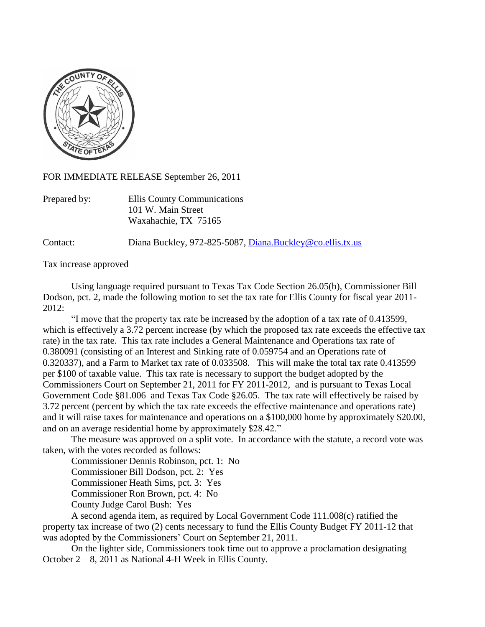

FOR IMMEDIATE RELEASE September 26, 2011

| Prepared by: | Ellis County Communications |
|--------------|-----------------------------|
|              | 101 W. Main Street          |
|              | Waxahachie, TX 75165        |

Contact: Diana Buckley, 972-825-5087, [Diana.Buckley@co.ellis.tx.us](mailto:Diana.Buckley@co.ellis.tx.us)

Tax increase approved

Using language required pursuant to Texas Tax Code Section 26.05(b), Commissioner Bill Dodson, pct. 2, made the following motion to set the tax rate for Ellis County for fiscal year 2011- 2012:

"I move that the property tax rate be increased by the adoption of a tax rate of 0.413599, which is effectively a 3.72 percent increase (by which the proposed tax rate exceeds the effective tax rate) in the tax rate. This tax rate includes a General Maintenance and Operations tax rate of 0.380091 (consisting of an Interest and Sinking rate of 0.059754 and an Operations rate of 0.320337), and a Farm to Market tax rate of 0.033508. This will make the total tax rate 0.413599 per \$100 of taxable value. This tax rate is necessary to support the budget adopted by the Commissioners Court on September 21, 2011 for FY 2011-2012, and is pursuant to Texas Local Government Code §81.006 and Texas Tax Code §26.05. The tax rate will effectively be raised by 3.72 percent (percent by which the tax rate exceeds the effective maintenance and operations rate) and it will raise taxes for maintenance and operations on a \$100,000 home by approximately \$20.00, and on an average residential home by approximately \$28.42."

The measure was approved on a split vote. In accordance with the statute, a record vote was taken, with the votes recorded as follows:

Commissioner Dennis Robinson, pct. 1: No

Commissioner Bill Dodson, pct. 2: Yes

Commissioner Heath Sims, pct. 3: Yes

Commissioner Ron Brown, pct. 4: No

County Judge Carol Bush: Yes

A second agenda item, as required by Local Government Code 111.008(c) ratified the property tax increase of two (2) cents necessary to fund the Ellis County Budget FY 2011-12 that was adopted by the Commissioners' Court on September 21, 2011.

On the lighter side, Commissioners took time out to approve a proclamation designating October 2 – 8, 2011 as National 4-H Week in Ellis County.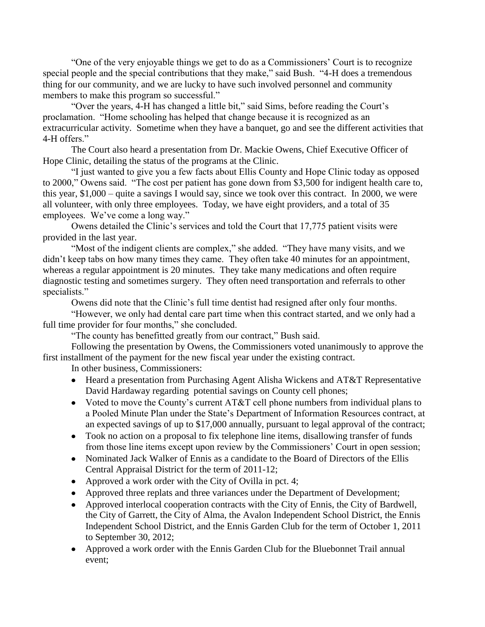"One of the very enjoyable things we get to do as a Commissioners' Court is to recognize special people and the special contributions that they make," said Bush. "4-H does a tremendous thing for our community, and we are lucky to have such involved personnel and community members to make this program so successful."

"Over the years, 4-H has changed a little bit," said Sims, before reading the Court's proclamation. "Home schooling has helped that change because it is recognized as an extracurricular activity. Sometime when they have a banquet, go and see the different activities that 4-H offers."

The Court also heard a presentation from Dr. Mackie Owens, Chief Executive Officer of Hope Clinic, detailing the status of the programs at the Clinic.

"I just wanted to give you a few facts about Ellis County and Hope Clinic today as opposed to 2000," Owens said. "The cost per patient has gone down from \$3,500 for indigent health care to, this year, \$1,000 – quite a savings I would say, since we took over this contract. In 2000, we were all volunteer, with only three employees. Today, we have eight providers, and a total of 35 employees. We've come a long way."

Owens detailed the Clinic's services and told the Court that 17,775 patient visits were provided in the last year.

"Most of the indigent clients are complex," she added. "They have many visits, and we didn't keep tabs on how many times they came. They often take 40 minutes for an appointment, whereas a regular appointment is 20 minutes. They take many medications and often require diagnostic testing and sometimes surgery. They often need transportation and referrals to other specialists."

Owens did note that the Clinic's full time dentist had resigned after only four months.

"However, we only had dental care part time when this contract started, and we only had a full time provider for four months," she concluded.

"The county has benefitted greatly from our contract," Bush said.

Following the presentation by Owens, the Commissioners voted unanimously to approve the first installment of the payment for the new fiscal year under the existing contract.

In other business, Commissioners:

- Heard a presentation from Purchasing Agent Alisha Wickens and AT&T Representative David Hardaway regarding potential savings on County cell phones;
- Voted to move the County's current AT&T cell phone numbers from individual plans to a Pooled Minute Plan under the State's Department of Information Resources contract, at an expected savings of up to \$17,000 annually, pursuant to legal approval of the contract;
- Took no action on a proposal to fix telephone line items, disallowing transfer of funds from those line items except upon review by the Commissioners' Court in open session;
- Nominated Jack Walker of Ennis as a candidate to the Board of Directors of the Ellis Central Appraisal District for the term of 2011-12;
- Approved a work order with the City of Ovilla in pct. 4;
- Approved three replats and three variances under the Department of Development;
- Approved interlocal cooperation contracts with the City of Ennis, the City of Bardwell, the City of Garrett, the City of Alma, the Avalon Independent School District, the Ennis Independent School District, and the Ennis Garden Club for the term of October 1, 2011 to September 30, 2012;
- Approved a work order with the Ennis Garden Club for the Bluebonnet Trail annual event;